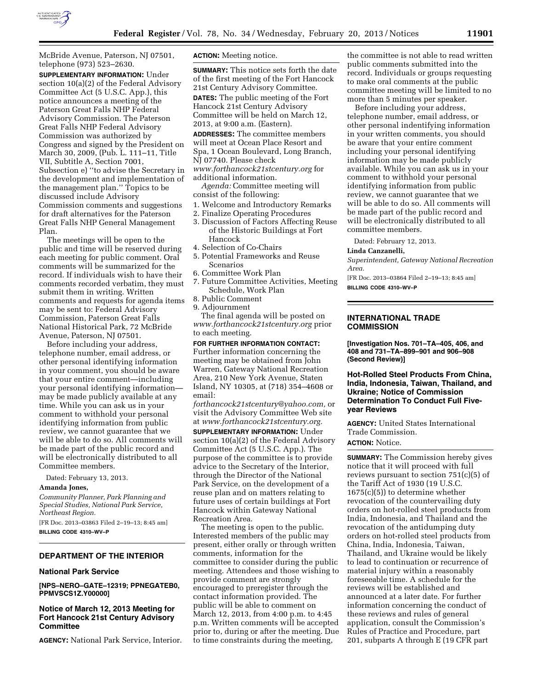

McBride Avenue, Paterson, NJ 07501, telephone (973) 523–2630.

**SUPPLEMENTARY INFORMATION:** Under section 10(a)(2) of the Federal Advisory Committee Act (5 U.S.C. App.), this notice announces a meeting of the Paterson Great Falls NHP Federal Advisory Commission. The Paterson Great Falls NHP Federal Advisory Commission was authorized by Congress and signed by the President on March 30, 2009, (Pub. L. 111–11, Title VII, Subtitle A, Section 7001, Subsection e) ''to advise the Secretary in the development and implementation of the management plan.'' Topics to be discussed include Advisory Commission comments and suggestions for draft alternatives for the Paterson Great Falls NHP General Management Plan.

The meetings will be open to the public and time will be reserved during each meeting for public comment. Oral comments will be summarized for the record. If individuals wish to have their comments recorded verbatim, they must submit them in writing. Written comments and requests for agenda items may be sent to: Federal Advisory Commission, Paterson Great Falls National Historical Park, 72 McBride Avenue, Paterson, NJ 07501.

Before including your address, telephone number, email address, or other personal identifying information in your comment, you should be aware that your entire comment—including your personal identifying information may be made publicly available at any time. While you can ask us in your comment to withhold your personal identifying information from public review, we cannot guarantee that we will be able to do so. All comments will be made part of the public record and will be electronically distributed to all Committee members.

Dated: February 13, 2013.

#### **Amanda Jones,**

*Community Planner, Park Planning and Special Studies, National Park Service, Northeast Region.* 

[FR Doc. 2013–03863 Filed 2–19–13; 8:45 am] **BILLING CODE 4310–WV–P** 

## **DEPARTMENT OF THE INTERIOR**

#### **National Park Service**

**[NPS–NERO–GATE–12319; PPNEGATEB0, PPMVSCS1Z.Y00000]** 

## **Notice of March 12, 2013 Meeting for Fort Hancock 21st Century Advisory Committee**

**AGENCY:** National Park Service, Interior.

**ACTION:** Meeting notice.

**SUMMARY:** This notice sets forth the date of the first meeting of the Fort Hancock 21st Century Advisory Committee. **DATES:** The public meeting of the Fort Hancock 21st Century Advisory Committee will be held on March 12, 2013, at 9:00 a.m. (Eastern).

**ADDRESSES:** The committee members will meet at Ocean Place Resort and Spa, 1 Ocean Boulevard, Long Branch, NJ 07740. Please check *[www.forthancock21stcentury.org](http://www.forthancock21stcentury.org)* for

additional information.

*Agenda:* Committee meeting will consist of the following:

- 1. Welcome and Introductory Remarks
- 2. Finalize Operating Procedures
- 3. Discussion of Factors Affecting Reuse of the Historic Buildings at Fort Hancock
- 4. Selection of Co-Chairs
- 5. Potential Frameworks and Reuse Scenarios
- 6. Committee Work Plan
- 7. Future Committee Activities, Meeting Schedule, Work Plan
- 8. Public Comment
- 9. Adjournment

The final agenda will be posted on *[www.forthancock21stcentury.org](http://www.forthancock21stcentury.org)* prior to each meeting.

**FOR FURTHER INFORMATION CONTACT:**  Further information concerning the meeting may be obtained from John Warren, Gateway National Recreation Area, 210 New York Avenue, Staten Island, NY 10305, at (718) 354–4608 or email:

*[forthancock21stcentury@yahoo.com,](mailto:forthancock21stcentury@yahoo.com)* or visit the Advisory Committee Web site at *[www.forthancock21stcentury.org.](http://www.forthancock21stcentury.org)* 

**SUPPLEMENTARY INFORMATION:** Under section 10(a)(2) of the Federal Advisory Committee Act (5 U.S.C. App.). The purpose of the committee is to provide advice to the Secretary of the Interior, through the Director of the National Park Service, on the development of a reuse plan and on matters relating to future uses of certain buildings at Fort Hancock within Gateway National Recreation Area.

The meeting is open to the public. Interested members of the public may present, either orally or through written comments, information for the committee to consider during the public meeting. Attendees and those wishing to provide comment are strongly encouraged to preregister through the contact information provided. The public will be able to comment on March 12, 2013, from 4:00 p.m. to 4:45 p.m. Written comments will be accepted prior to, during or after the meeting. Due to time constraints during the meeting,

the committee is not able to read written public comments submitted into the record. Individuals or groups requesting to make oral comments at the public committee meeting will be limited to no more than 5 minutes per speaker.

Before including your address, telephone number, email address, or other personal indentifying information in your written comments, you should be aware that your entire comment including your personal identifying information may be made publicly available. While you can ask us in your comment to withhold your personal identifying information from public review, we cannot guarantee that we will be able to do so. All comments will be made part of the public record and will be electronically distributed to all committee members.

Dated: February 12, 2013.

#### **Linda Canzanelli,**

*Superintendent, Gateway National Recreation Area.* 

[FR Doc. 2013–03864 Filed 2–19–13; 8:45 am] **BILLING CODE 4310–WV–P** 

## **INTERNATIONAL TRADE COMMISSION**

**[Investigation Nos. 701–TA–405, 406, and 408 and 731–TA–899–901 and 906–908 (Second Review)]** 

**Hot-Rolled Steel Products From China, India, Indonesia, Taiwan, Thailand, and Ukraine; Notice of Commission Determination To Conduct Full Fiveyear Reviews** 

**AGENCY:** United States International Trade Commission.

# **ACTION:** Notice.

**SUMMARY:** The Commission hereby gives notice that it will proceed with full reviews pursuant to section 751(c)(5) of the Tariff Act of 1930 (19 U.S.C. 1675(c)(5)) to determine whether revocation of the countervailing duty orders on hot-rolled steel products from India, Indonesia, and Thailand and the revocation of the antidumping duty orders on hot-rolled steel products from China, India, Indonesia, Taiwan, Thailand, and Ukraine would be likely to lead to continuation or recurrence of material injury within a reasonably foreseeable time. A schedule for the reviews will be established and announced at a later date. For further information concerning the conduct of these reviews and rules of general application, consult the Commission's Rules of Practice and Procedure, part 201, subparts A through E (19 CFR part